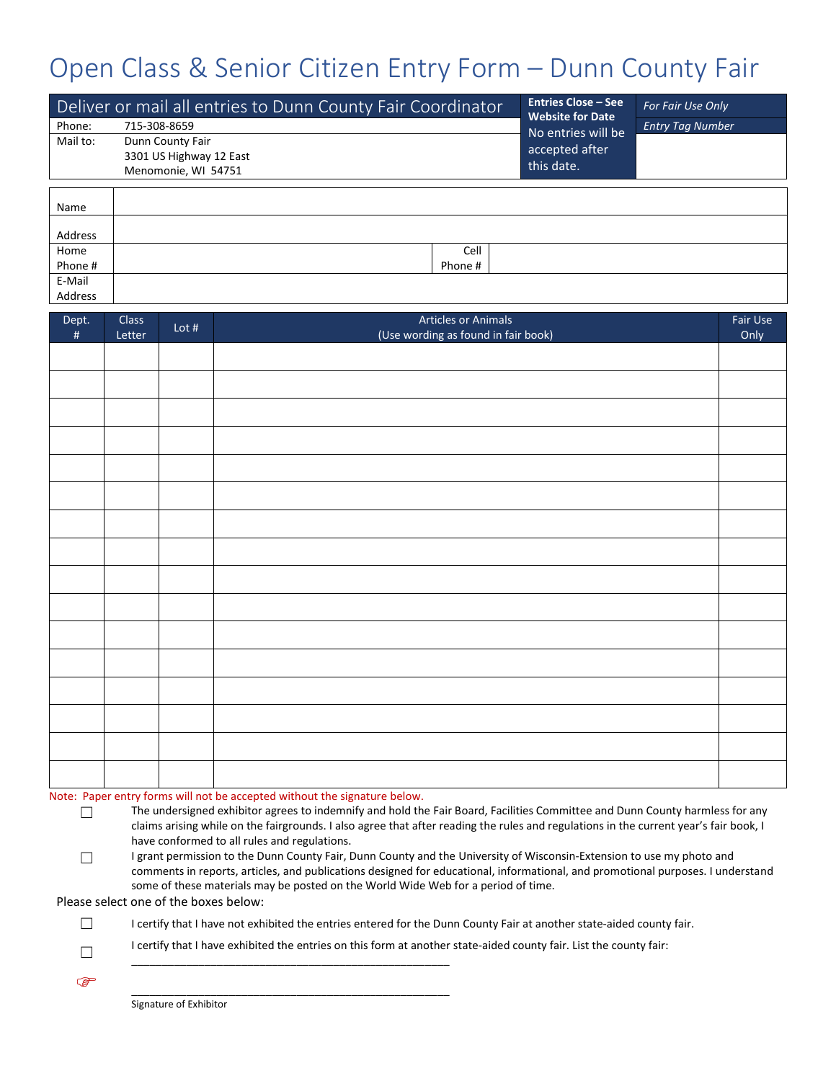## Open Class & Senior Citizen Entry Form – Dunn County Fair

|          | Deliver or mail all entries to Dunn County Fair Coordinator | Entries Close – See<br>Website for Date | For Fair Use Only       |  |
|----------|-------------------------------------------------------------|-----------------------------------------|-------------------------|--|
| Phone:   | 715-308-8659                                                |                                         | <b>Entry Tag Number</b> |  |
| Mail to: | Dunn County Fair                                            | No entries will be<br>accepted after    |                         |  |
|          | 3301 US Highway 12 East                                     | this date.                              |                         |  |
|          | Menomonie, WI 54751                                         |                                         |                         |  |
|          |                                                             |                                         |                         |  |
| Name     |                                                             |                                         |                         |  |
| addracc  |                                                             |                                         |                         |  |
| Home     |                                                             | Cell                                    |                         |  |
| Phone #  |                                                             | Phone #                                 |                         |  |
| E-Mail   |                                                             |                                         |                         |  |
| Address  |                                                             |                                         |                         |  |

| Dept.<br>$\#$ | Class<br>Letter | Lot $#$ | <b>Articles or Animals</b><br>(Use wording as found in fair book) | Fair Use<br>Only |
|---------------|-----------------|---------|-------------------------------------------------------------------|------------------|
|               |                 |         |                                                                   |                  |
|               |                 |         |                                                                   |                  |
|               |                 |         |                                                                   |                  |
|               |                 |         |                                                                   |                  |
|               |                 |         |                                                                   |                  |
|               |                 |         |                                                                   |                  |
|               |                 |         |                                                                   |                  |
|               |                 |         |                                                                   |                  |
|               |                 |         |                                                                   |                  |
|               |                 |         |                                                                   |                  |
|               |                 |         |                                                                   |                  |
|               |                 |         |                                                                   |                  |
|               |                 |         |                                                                   |                  |
|               |                 |         |                                                                   |                  |
|               |                 |         |                                                                   |                  |
|               |                 |         |                                                                   |                  |

## Note: Paper entry forms will not be accepted without the signature below.

\_\_\_\_\_\_\_\_\_\_\_\_\_\_\_\_\_\_\_\_\_\_\_\_\_\_\_\_\_\_\_\_\_\_\_\_\_\_\_\_\_\_\_\_\_\_\_\_\_\_\_\_

- ☐ The undersigned exhibitor agrees to indemnify and hold the Fair Board, Facilities Committee and Dunn County harmless for any claims arising while on the fairgrounds. I also agree that after reading the rules and regulations in the current year's fair book, I have conformed to all rules and regulations.
- □ I grant permission to the Dunn County Fair, Dunn County and the University of Wisconsin-Extension to use my photo and comments in reports, articles, and publications designed for educational, informational, and promotional purposes. I understand some of these materials may be posted on the World Wide Web for a period of time.

Please select one of the boxes below:

- ☐ I certify that I have not exhibited the entries entered for the Dunn County Fair at another state-aided county fair.
- $\Box$ I certify that I have exhibited the entries on this form at another state-aided county fair. List the county fair:

\_\_\_\_\_\_\_\_\_\_\_\_\_\_\_\_\_\_\_\_\_\_\_\_\_\_\_\_\_\_\_\_\_\_\_\_\_\_\_\_\_\_\_\_\_\_\_\_\_\_\_\_

Signature of Exhibitor